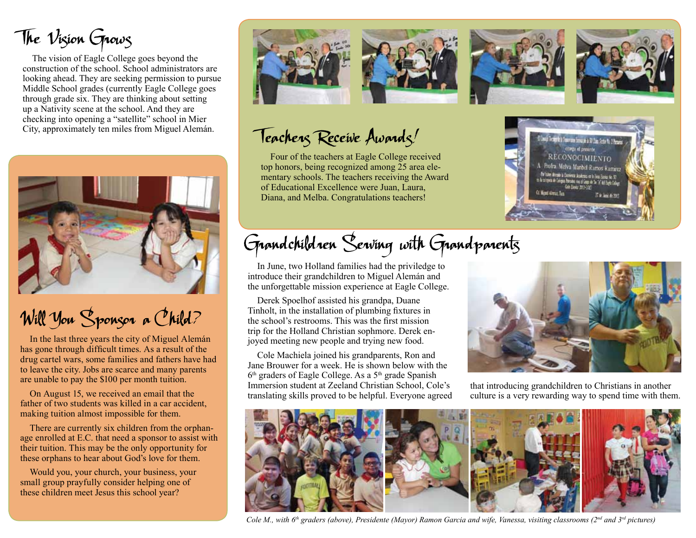The Vision Grows

The vision of Eagle College goes beyond the construction of the school. School administrators are looking ahead. They are seeking permission to pursue Middle School grades (currently Eagle College goes through grade six. They are thinking about setting up a Nativity scene at the school. And they are checking into opening a "satellite" school in Mier City, approximately ten miles from Miguel Alemán.



## Will You Sponsor a Child?

In the last three years the city of Miguel Alemán has gone through difficult times. As a result of the drug cartel wars, some families and fathers have had to leave the city. Jobs are scarce and many parents are unable to pay the \$100 per month tuition.

On August 15, we received an email that the father of two students was killed in a car accident, making tuition almost impossible for them.

There are currently six children from the orphanage enrolled at E.C. that need a sponsor to assist with their tuition. This may be the only opportunity for these orphans to hear about God's love for them.

Would you, your church, your business, your small group prayfully consider helping one of these children meet Jesus this school year?



Teachers Receive Awards!

Four of the teachers at Eagle College received top honors, being recognized among 25 area elementary schools. The teachers receiving the Award of Educational Excellence were Juan, Laura, Diana, and Melba. Congratulations teachers!

## Grandchildren Serving with Grandparents

In June, two Holland families had the priviledge to introduce their grandchildren to Miguel Alemán and the unforgettable mission experience at Eagle College.

Derek Spoelhof assisted his grandpa, Duane Tinholt, in the installation of plumbing fixtures in the school's restrooms. This was the first mission trip for the Holland Christian sophmore. Derek enjoyed meeting new people and trying new food.

Cole Machiela joined his grandparents, Ron and Jane Brouwer for a week. He is shown below with the  $6<sup>th</sup>$  graders of Eagle College. As a  $5<sup>th</sup>$  grade Spanish Immersion student at Zeeland Christian School, Cole's translating skills proved to be helpful. Everyone agreed



inbel Ramos Ramire

that introducing grandchildren to Christians in another culture is a very rewarding way to spend time with them.



*Cole M., with 6<sup>th</sup> graders (above), Presidente (Mayor) Ramon Garcia and wife, Vanessa, visiting classrooms (2<sup>nd</sup> and 3<sup>rd</sup> pictures)*